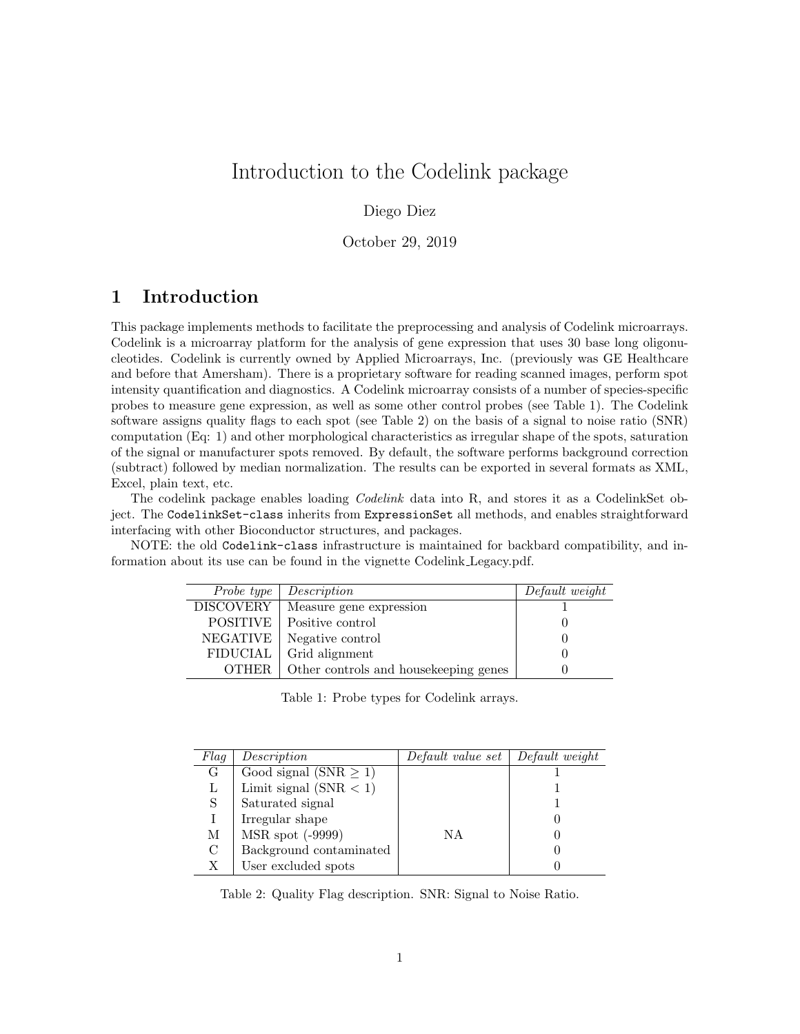# Introduction to the Codelink package

#### Diego Diez

October 29, 2019

## 1 Introduction

This package implements methods to facilitate the preprocessing and analysis of Codelink microarrays. Codelink is a microarray platform for the analysis of gene expression that uses 30 base long oligonucleotides. Codelink is currently owned by Applied Microarrays, Inc. (previously was GE Healthcare and before that Amersham). There is a proprietary software for reading scanned images, perform spot intensity quantification and diagnostics. A Codelink microarray consists of a number of species-specific probes to measure gene expression, as well as some other control probes (see Table 1). The Codelink software assigns quality flags to each spot (see Table 2) on the basis of a signal to noise ratio (SNR) computation (Eq: 1) and other morphological characteristics as irregular shape of the spots, saturation of the signal or manufacturer spots removed. By default, the software performs background correction (subtract) followed by median normalization. The results can be exported in several formats as XML, Excel, plain text, etc.

The codelink package enables loading Codelink data into R, and stores it as a CodelinkSet object. The CodelinkSet-class inherits from ExpressionSet all methods, and enables straightforward interfacing with other Bioconductor structures, and packages.

NOTE: the old Codelink-class infrastructure is maintained for backbard compatibility, and information about its use can be found in the vignette Codelink Legacy.pdf.

| Probe type       | Description                           | Default weight |
|------------------|---------------------------------------|----------------|
| <b>DISCOVERY</b> | Measure gene expression               |                |
| <b>POSITIVE</b>  | Positive control                      |                |
| NEGATIVE         | Negative control                      |                |
| <b>FIDUCIAL</b>  | Grid alignment                        |                |
| OTHER.           | Other controls and housekeeping genes |                |

Table 1: Probe types for Codelink arrays.

| Flaq | Description                | Default value set   Default weight |  |
|------|----------------------------|------------------------------------|--|
| G    | Good signal (SNR $\geq$ 1) |                                    |  |
| L    | Limit signal $(SNR < 1)$   |                                    |  |
| S.   | Saturated signal           |                                    |  |
|      | Irregular shape            |                                    |  |
| М    | MSR spot (-9999)           | ΝA                                 |  |
| C    | Background contaminated    |                                    |  |
| Χ    | User excluded spots        |                                    |  |

Table 2: Quality Flag description. SNR: Signal to Noise Ratio.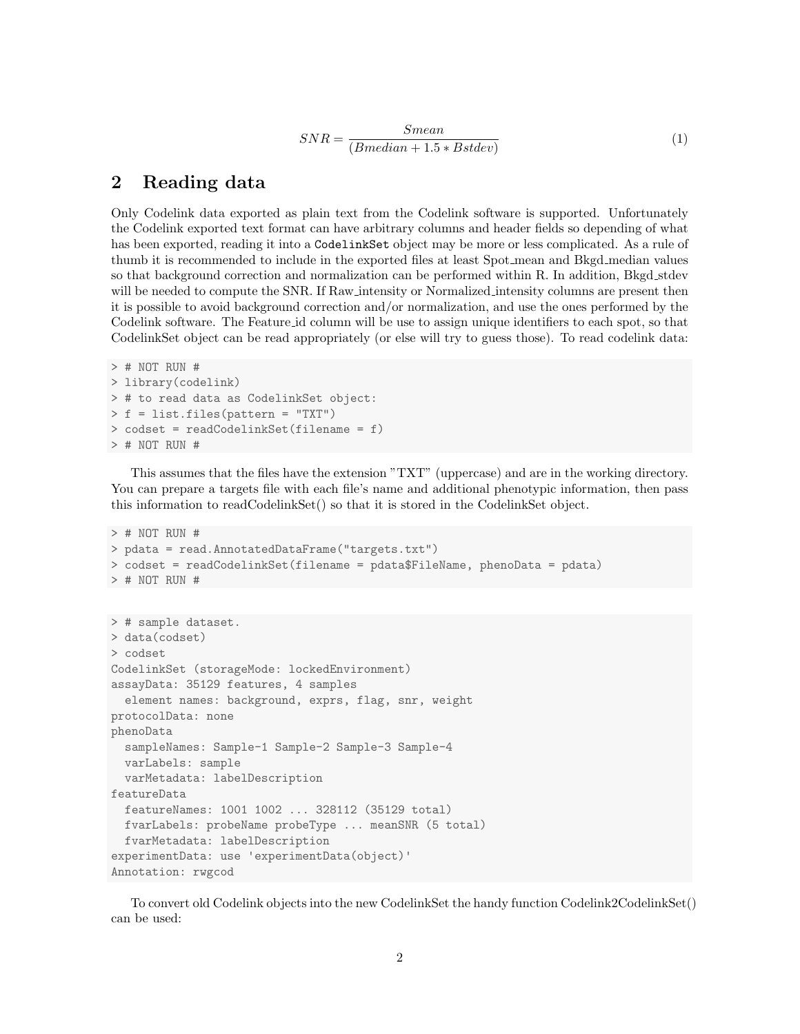$$
SNR = \frac{Smean}{(Bmedian + 1.5 * Bstdev)}\tag{1}
$$

## 2 Reading data

Only Codelink data exported as plain text from the Codelink software is supported. Unfortunately the Codelink exported text format can have arbitrary columns and header fields so depending of what has been exported, reading it into a CodelinkSet object may be more or less complicated. As a rule of thumb it is recommended to include in the exported files at least Spot mean and Bkgd median values so that background correction and normalization can be performed within R. In addition, Bkgd\_stdev will be needed to compute the SNR. If Raw intensity or Normalized intensity columns are present then it is possible to avoid background correction and/or normalization, and use the ones performed by the Codelink software. The Feature id column will be use to assign unique identifiers to each spot, so that CodelinkSet object can be read appropriately (or else will try to guess those). To read codelink data:

```
> # NOT RUN #
> library(codelink)
> # to read data as CodelinkSet object:
> f = list.files(pattern = "TXT")
> codset = readCodelinkSet(filename = f)
> # NOT RUN #
```
This assumes that the files have the extension "TXT" (uppercase) and are in the working directory. You can prepare a targets file with each file's name and additional phenotypic information, then pass this information to readCodelinkSet() so that it is stored in the CodelinkSet object.

```
> # NOT RUN #
> pdata = read.AnnotatedDataFrame("targets.txt")
> codset = readCodelinkSet(filename = pdata$FileName, phenoData = pdata)
> # NOT RUN #
> # sample dataset.
> data(codset)
> codset
CodelinkSet (storageMode: lockedEnvironment)
assayData: 35129 features, 4 samples
  element names: background, exprs, flag, snr, weight
protocolData: none
phenoData
  sampleNames: Sample-1 Sample-2 Sample-3 Sample-4
  varLabels: sample
  varMetadata: labelDescription
featureData
  featureNames: 1001 1002 ... 328112 (35129 total)
  fvarLabels: probeName probeType ... meanSNR (5 total)
  fvarMetadata: labelDescription
experimentData: use 'experimentData(object)'
Annotation: rwgcod
```
To convert old Codelink objects into the new CodelinkSet the handy function Codelink2CodelinkSet() can be used: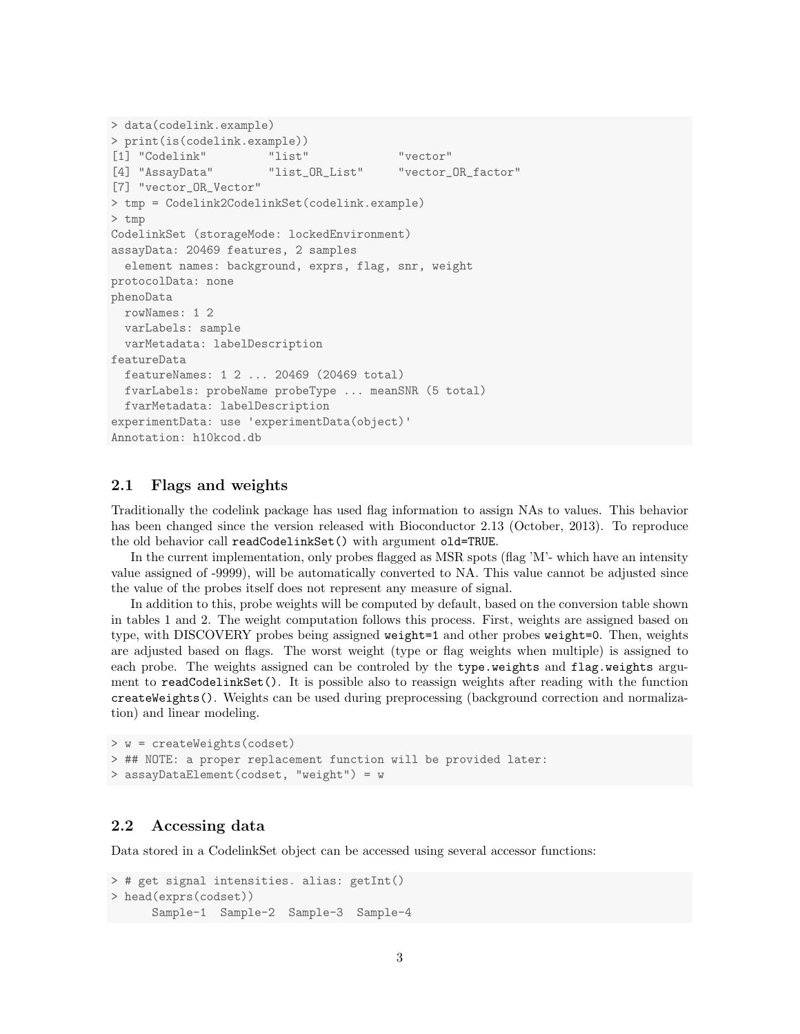```
> data(codelink.example)
> print(is(codelink.example))
[1] "Codelink" "list" "vector"
[4] "AssayData" "list_OR_List" "vector_OR_factor"
[7] "vector_OR_Vector"
> tmp = Codelink2CodelinkSet(codelink.example)
> tmp
CodelinkSet (storageMode: lockedEnvironment)
assayData: 20469 features, 2 samples
  element names: background, exprs, flag, snr, weight
protocolData: none
phenoData
 rowNames: 1 2
  varLabels: sample
  varMetadata: labelDescription
featureData
  featureNames: 1 2 ... 20469 (20469 total)
 fvarLabels: probeName probeType ... meanSNR (5 total)
  fvarMetadata: labelDescription
experimentData: use 'experimentData(object)'
Annotation: h10kcod.db
```
#### 2.1 Flags and weights

Traditionally the codelink package has used flag information to assign NAs to values. This behavior has been changed since the version released with Bioconductor 2.13 (October, 2013). To reproduce the old behavior call readCodelinkSet() with argument old=TRUE.

In the current implementation, only probes flagged as MSR spots (flag 'M'- which have an intensity value assigned of -9999), will be automatically converted to NA. This value cannot be adjusted since the value of the probes itself does not represent any measure of signal.

In addition to this, probe weights will be computed by default, based on the conversion table shown in tables 1 and 2. The weight computation follows this process. First, weights are assigned based on type, with DISCOVERY probes being assigned weight=1 and other probes weight=0. Then, weights are adjusted based on flags. The worst weight (type or flag weights when multiple) is assigned to each probe. The weights assigned can be controled by the type.weights and flag.weights argument to readCodelinkSet(). It is possible also to reassign weights after reading with the function createWeights(). Weights can be used during preprocessing (background correction and normalization) and linear modeling.

```
> w = createWeights(codset)
> ## NOTE: a proper replacement function will be provided later:
> assayDataElement(codset, "weight") = w
```
#### 2.2 Accessing data

Data stored in a CodelinkSet object can be accessed using several accessor functions:

```
> # get signal intensities. alias: getInt()
> head(exprs(codset))
     Sample-1 Sample-2 Sample-3 Sample-4
```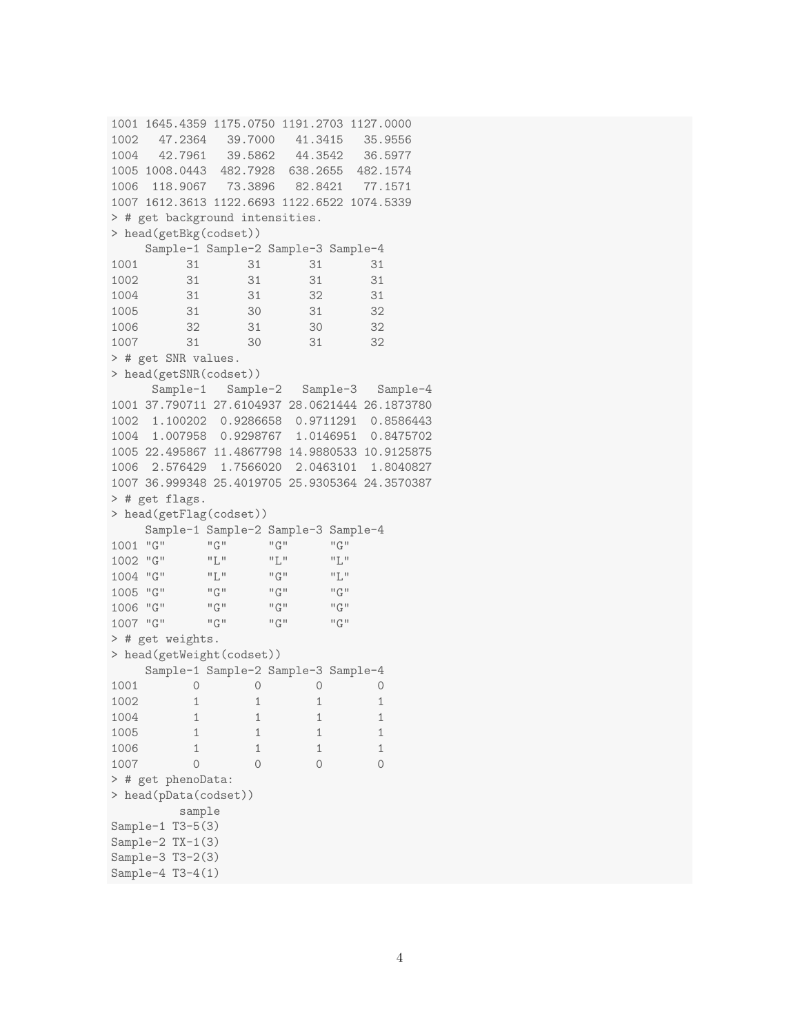```
1001 1645.4359 1175.0750 1191.2703 1127.0000
1002 47.2364 39.7000 41.3415 35.9556
1004 42.7961 39.5862 44.3542 36.5977
1005 1008.0443 482.7928 638.2655 482.1574
1006 118.9067 73.3896 82.8421 77.1571
1007 1612.3613 1122.6693 1122.6522 1074.5339
> # get background intensities.
> head(getBkg(codset))
    Sample-1 Sample-2 Sample-3 Sample-4
1001 31 31 31 31
1002 31 31 31 31
1004 31 31 32 31
1005 31 30 31 32
1006 32 31 30 32
1007 31 30 31 32
> # get SNR values.
> head(getSNR(codset))
     Sample-1 Sample-2 Sample-3 Sample-4
1001 37.790711 27.6104937 28.0621444 26.1873780
1002 1.100202 0.9286658 0.9711291 0.8586443
1004 1.007958 0.9298767 1.0146951 0.8475702
1005 22.495867 11.4867798 14.9880533 10.9125875
1006 2.576429 1.7566020 2.0463101 1.8040827
1007 36.999348 25.4019705 25.9305364 24.3570387
> # get flags.
> head(getFlag(codset))
    Sample-1 Sample-2 Sample-3 Sample-4
1001 "G" "G" "G" "G"
1002 "G" "L" "L" "L"
\begin{array}{ccccccccc} 1004 & "G" & & & "L" & & & "G" & & & "L" \\ 1005 & "G" & & & "G" & & & "G" & & & "G" \\ \end{array}1005 "G" "G" "G" "G"
1006 "G" \frac{100}{100} "G" \frac{100}{100} "G"
1007 "G" "G" "G" "G"
> # get weights.
> head(getWeight(codset))
    Sample-1 Sample-2 Sample-3 Sample-4
1001 0 0 0 0
1002 1 1 1 1
1004 1 1 1 1
1005 1 1 1 1
1006 1 1 1 1
1007 0 0 0 0
> # get phenoData:
> head(pData(codset))
        sample
Sample-1 T3-5(3)
Sample-2 TX-1(3)
Sample-3 T3-2(3)
Sample-4 T3-4(1)
```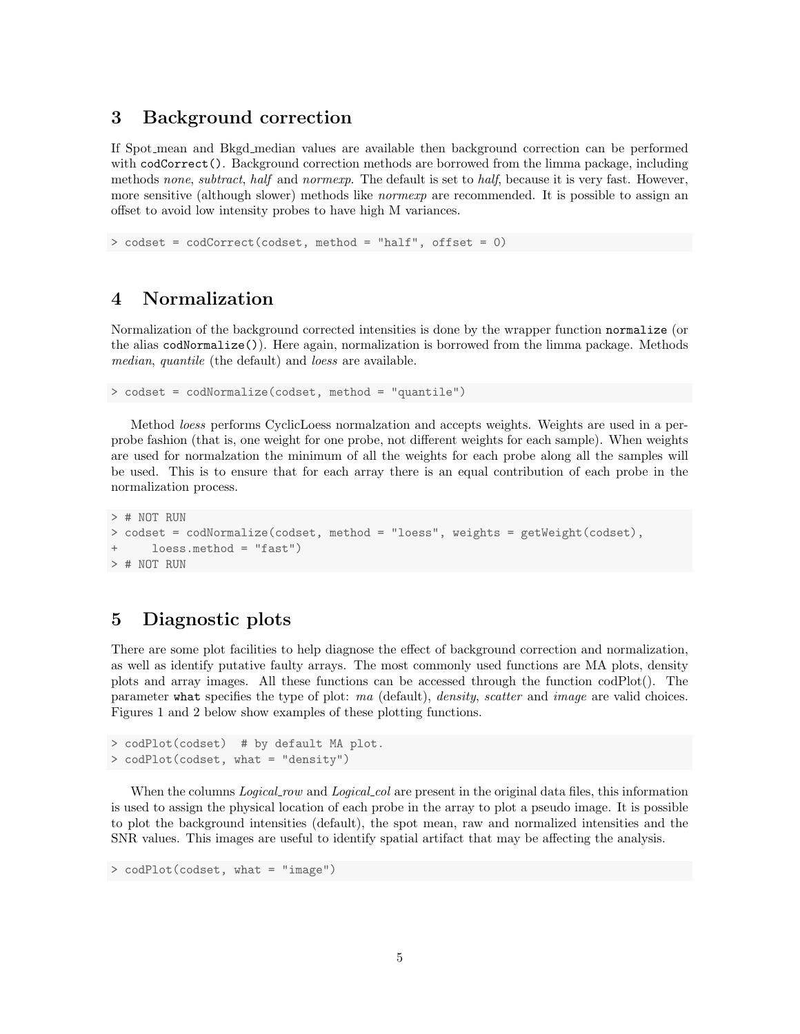### 3 Background correction

If Spot mean and Bkgd median values are available then background correction can be performed with codCorrect(). Background correction methods are borrowed from the limma package, including methods none, subtract, half and normexp. The default is set to half, because it is very fast. However, more sensitive (although slower) methods like *normexp* are recommended. It is possible to assign an offset to avoid low intensity probes to have high M variances.

> codset = codCorrect(codset, method = "half", offset = 0)

### 4 Normalization

Normalization of the background corrected intensities is done by the wrapper function normalize (or the alias codNormalize()). Here again, normalization is borrowed from the limma package. Methods median, quantile (the default) and loess are available.

```
> codset = codNormalize(codset, method = "quantile")
```
Method loess performs CyclicLoess normalzation and accepts weights. Weights are used in a perprobe fashion (that is, one weight for one probe, not different weights for each sample). When weights are used for normalzation the minimum of all the weights for each probe along all the samples will be used. This is to ensure that for each array there is an equal contribution of each probe in the normalization process.

```
> # NOT RUN
> codset = codNormalize(codset, method = "loess", weights = getWeight(codset),
      loess.method = "fast")> # NOT RUN
```
## 5 Diagnostic plots

There are some plot facilities to help diagnose the effect of background correction and normalization, as well as identify putative faulty arrays. The most commonly used functions are MA plots, density plots and array images. All these functions can be accessed through the function codPlot(). The parameter what specifies the type of plot: ma (default), density, scatter and image are valid choices. Figures 1 and 2 below show examples of these plotting functions.

```
> codPlot(codset) # by default MA plot.
> codPlot(codset, what = "density")
```
When the columns *Logical row* and *Logical col* are present in the original data files, this information is used to assign the physical location of each probe in the array to plot a pseudo image. It is possible to plot the background intensities (default), the spot mean, raw and normalized intensities and the SNR values. This images are useful to identify spatial artifact that may be affecting the analysis.

> codPlot(codset, what = "image")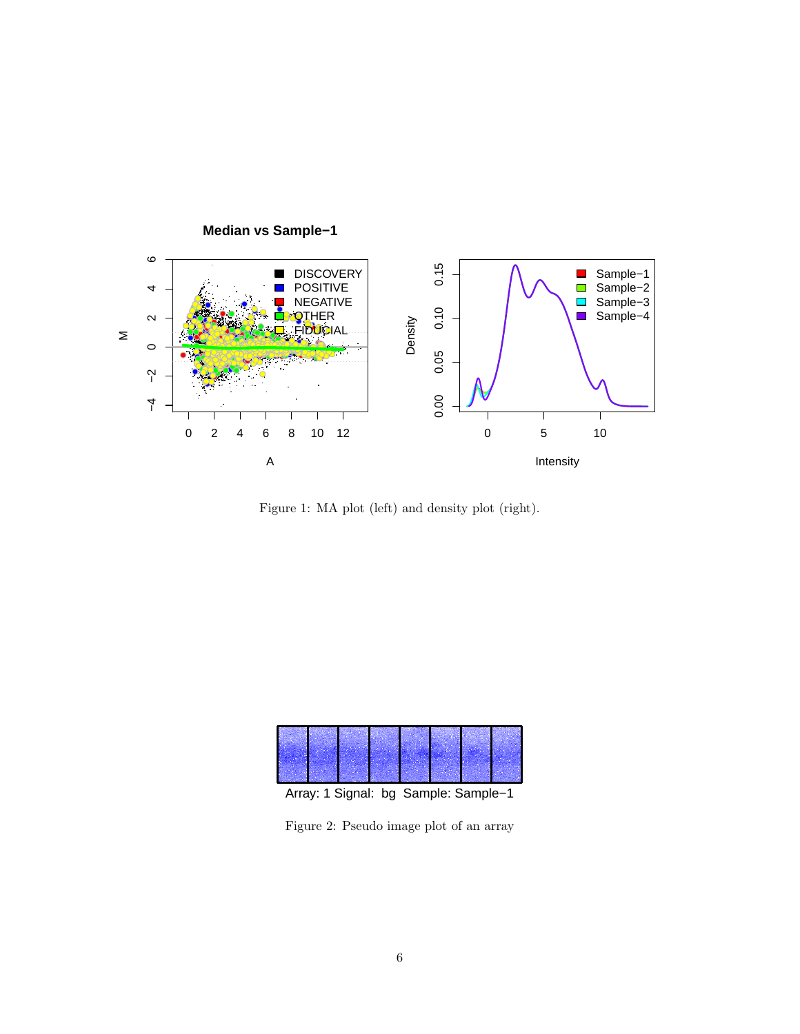

Median vs Sample-1

Figure 1: MA plot (left) and density plot (right).





Figure 2: Pseudo image plot of an array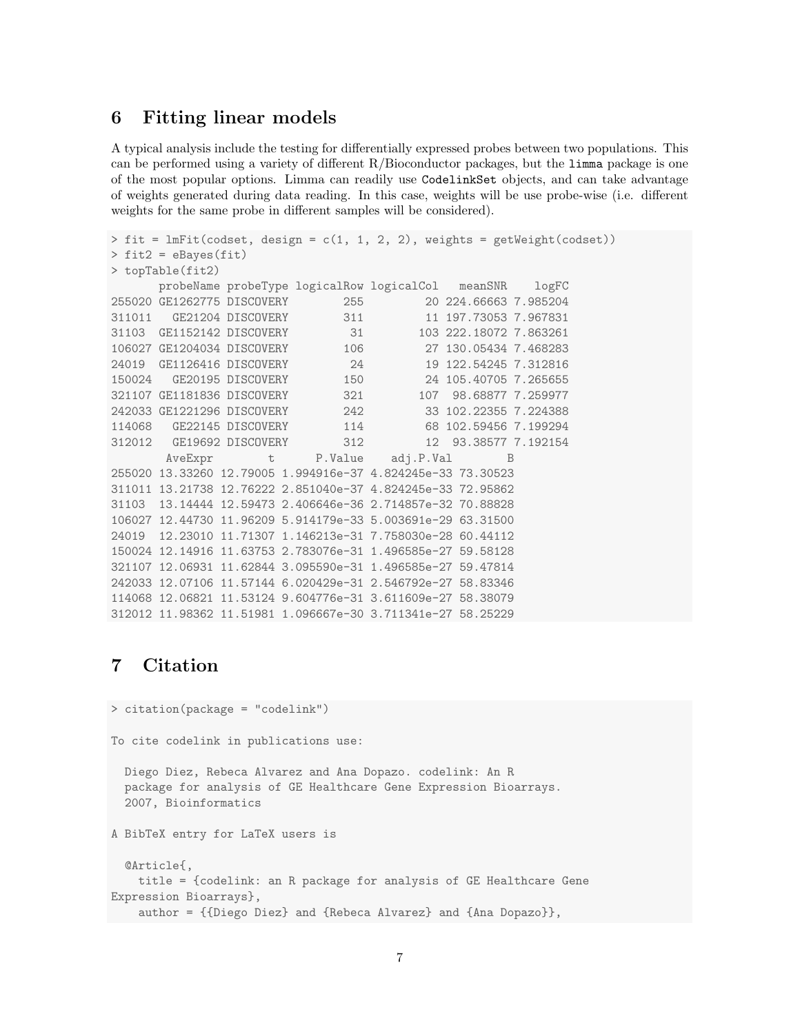### 6 Fitting linear models

A typical analysis include the testing for differentially expressed probes between two populations. This can be performed using a variety of different R/Bioconductor packages, but the limma package is one of the most popular options. Limma can readily use CodelinkSet objects, and can take advantage of weights generated during data reading. In this case, weights will be use probe-wise (i.e. different weights for the same probe in different samples will be considered).

```
> fit = lmFit(codset, design = c(1, 1, 2, 2), weights = getWeight(codset))
> fit2 = eBayes(fit)
> topTable(fit2)
      probeName probeType logicalRow logicalCol meanSNR logFC
255020 GE1262775 DISCOVERY 255 20 224.66663 7.985204
311011   GE21204   DISCOVERY   311   11 197.73053   7.967831
31103 GE1152142 DISCOVERY 31 103 222.18072 7.863261
106027 GE1204034 DISCOVERY 106 27 130.05434 7.468283
24019 GE1126416 DISCOVERY 24 19 122.54245 7.312816
150024 GE20195 DISCOVERY 150 24 105.40705 7.265655
321107 GE1181836 DISCOVERY 321 107 98.68877 7.259977
242033 GE1221296 DISCOVERY 242 33 102.22355 7.224388
114068 GE22145 DISCOVERY 114 68 102.59456 7.199294
312012 GE19692 DISCOVERY 312 12 93.38577 7.192154
      AveExpr t P.Value adj.P.Val B
255020 13.33260 12.79005 1.994916e-37 4.824245e-33 73.30523
311011 13.21738 12.76222 2.851040e-37 4.824245e-33 72.95862
31103 13.14444 12.59473 2.406646e-36 2.714857e-32 70.88828
106027 12.44730 11.96209 5.914179e-33 5.003691e-29 63.31500
24019 12.23010 11.71307 1.146213e-31 7.758030e-28 60.44112
150024 12.14916 11.63753 2.783076e-31 1.496585e-27 59.58128
321107 12.06931 11.62844 3.095590e-31 1.496585e-27 59.47814
242033 12.07106 11.57144 6.020429e-31 2.546792e-27 58.83346
114068 12.06821 11.53124 9.604776e-31 3.611609e-27 58.38079
312012 11.98362 11.51981 1.096667e-30 3.711341e-27 58.25229
```
## 7 Citation

> citation(package = "codelink")

To cite codelink in publications use:

```
Diego Diez, Rebeca Alvarez and Ana Dopazo. codelink: An R
package for analysis of GE Healthcare Gene Expression Bioarrays.
2007, Bioinformatics
```
A BibTeX entry for LaTeX users is

```
@Article{,
   title = {codelink: an R package for analysis of GE Healthcare Gene
Expression Bioarrays},
   author = {{Diego Diez} and {Rebeca Alvarez} and {Ana Dopazo}},
```